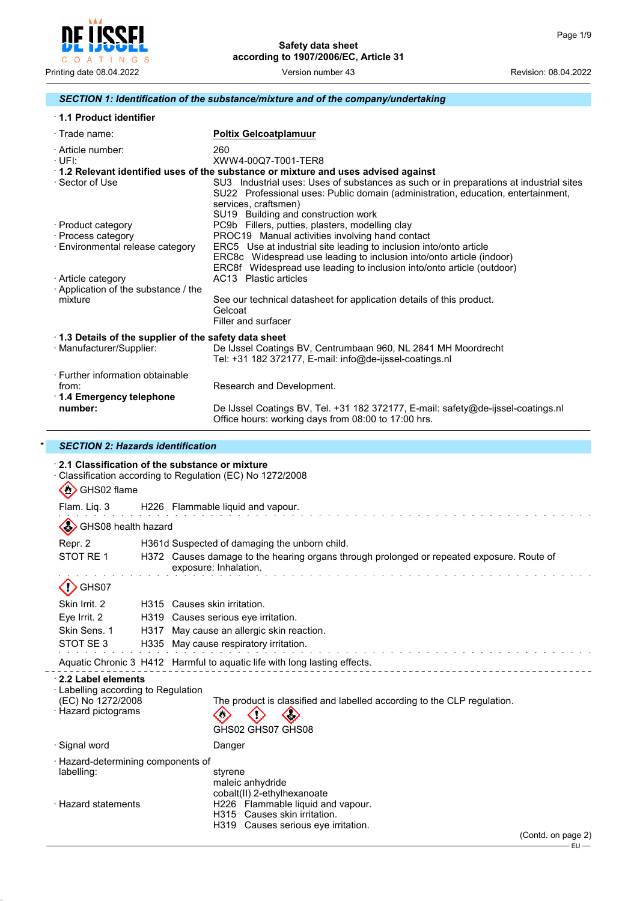

### *SECTION 1: Identification of the substance/mixture and of the company/undertaking*

|  |  | 1.1 Product identifier |  |
|--|--|------------------------|--|
|--|--|------------------------|--|

\* *SECTION 2: Hazards identification*

| $\cdot$ Trade name:                                                    | <b>Poltix Gelcoatplamuur</b>                                                                                                                                                                                        |
|------------------------------------------------------------------------|---------------------------------------------------------------------------------------------------------------------------------------------------------------------------------------------------------------------|
| · Article number:<br>∙UFI:                                             | 260<br>XWW4-00Q7-T001-TER8                                                                                                                                                                                          |
|                                                                        | 1.2 Relevant identified uses of the substance or mixture and uses advised against                                                                                                                                   |
| ⋅ Sector of Use                                                        | SU3 Industrial uses: Uses of substances as such or in preparations at industrial sites<br>SU22 Professional uses: Public domain (administration, education, entertainment,<br>services, craftsmen)                  |
|                                                                        | SU19 Building and construction work                                                                                                                                                                                 |
| · Product category<br>· Process category                               | PC9b Fillers, putties, plasters, modelling clay<br>PROC19 Manual activities involving hand contact                                                                                                                  |
| · Environmental release category                                       | ERC5 Use at industrial site leading to inclusion into/onto article<br>ERC8c Widespread use leading to inclusion into/onto article (indoor)<br>ERC8f Widespread use leading to inclusion into/onto article (outdoor) |
| · Article category<br>Application of the substance / the               | AC13 Plastic articles                                                                                                                                                                                               |
| mixture                                                                | See our technical datasheet for application details of this product.<br>Gelcoat<br>Filler and surfacer                                                                                                              |
| 1.3 Details of the supplier of the safety data sheet                   |                                                                                                                                                                                                                     |
| · Manufacturer/Supplier:                                               | De IJssel Coatings BV, Centrumbaan 960, NL 2841 MH Moordrecht<br>Tel: +31 182 372177, E-mail: info@de-ijssel-coatings.nl                                                                                            |
| · Further information obtainable<br>from:<br>⋅ 1.4 Emergency telephone | Research and Development.                                                                                                                                                                                           |
| number:                                                                | De IJssel Coatings BV, Tel. +31 182 372177, E-mail: safety@de-ijssel-coatings.nl<br>Office hours: working days from 08:00 to 17:00 hrs.                                                                             |

| H226 Flammable liquid and vapour.<br>H361d Suspected of damaging the unborn child.                                 |
|--------------------------------------------------------------------------------------------------------------------|
|                                                                                                                    |
|                                                                                                                    |
|                                                                                                                    |
| H372 Causes damage to the hearing organs through prolonged or repeated exposure. Route of<br>exposure: Inhalation. |
|                                                                                                                    |
| H315 Causes skin irritation.                                                                                       |
| H319 Causes serious eye irritation.                                                                                |
| May cause an allergic skin reaction.                                                                               |
| H335 May cause respiratory irritation.                                                                             |
| Aquatic Chronic 3 H412 Harmful to aquatic life with long lasting effects.                                          |
|                                                                                                                    |
| The product is classified and labelled according to the CLP regulation.<br>GHS02 GHS07 GHS08                       |
| Danger                                                                                                             |
| styrene<br>maleic anhydride<br>cobalt(II) 2-ethylhexanoate<br>H226 Flammable liquid and vapour.                    |
|                                                                                                                    |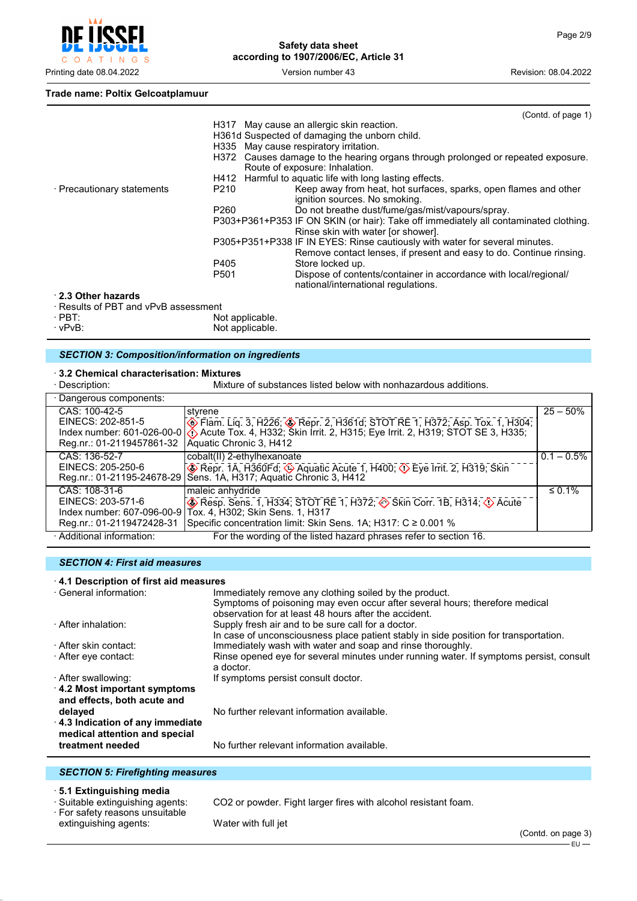

#### **Trade name: Poltix Gelcoatplamuur**

|                                      |                  | (Contd. of page 1)                                                                                                 |
|--------------------------------------|------------------|--------------------------------------------------------------------------------------------------------------------|
|                                      |                  | H317 May cause an allergic skin reaction.                                                                          |
|                                      |                  | H361d Suspected of damaging the unborn child.                                                                      |
|                                      |                  | H335 May cause respiratory irritation.                                                                             |
|                                      |                  | H372 Causes damage to the hearing organs through prolonged or repeated exposure.<br>Route of exposure: Inhalation. |
|                                      |                  | H412 Harmful to aquatic life with long lasting effects.                                                            |
| · Precautionary statements           | P210             | Keep away from heat, hot surfaces, sparks, open flames and other<br>ignition sources. No smoking.                  |
|                                      | P260             | Do not breathe dust/fume/gas/mist/vapours/spray.                                                                   |
|                                      |                  | P303+P361+P353 IF ON SKIN (or hair): Take off immediately all contaminated clothing.                               |
|                                      |                  | Rinse skin with water [or shower].                                                                                 |
|                                      |                  | P305+P351+P338 IF IN EYES: Rinse cautiously with water for several minutes.                                        |
|                                      |                  | Remove contact lenses, if present and easy to do. Continue rinsing.                                                |
|                                      | P405             | Store locked up.                                                                                                   |
|                                      | P <sub>501</sub> | Dispose of contents/container in accordance with local/regional/<br>national/international regulations.            |
| 2.3 Other hazards                    |                  |                                                                                                                    |
| · Results of PBT and vPvB assessment |                  |                                                                                                                    |

· PBT:<br>· vPvB: Not applicable. Not applicable.

# *SECTION 3: Composition/information on ingredients*

# · **3.2 Chemical characterisation: Mixtures**

Mixture of substances listed below with nonhazardous additions.

| · Dangerous components:                                         |                                                                                                                                                                                                                                                                                          |               |
|-----------------------------------------------------------------|------------------------------------------------------------------------------------------------------------------------------------------------------------------------------------------------------------------------------------------------------------------------------------------|---------------|
| CAS: 100-42-5<br>Reg.nr.: 01-2119457861-32                      | styrene<br>EINECS: 202-851-5<br>Index number: 601-026-00-0 ( $\bigcirc$ Flam. Liq. 3, H226; $\bigcirc$ Repr. 2, H361d; STOT RE 1, H372; Asp. Tox. 1, H304; index number: 601-026-00-0 ( $\bigcirc$ Acute Tox. 4, H332; Skin Irrit. 2, H315; Eye Irrit. 2, H31<br>Aquatic Chronic 3, H412 | $25 - 50%$    |
| CAS: 136-52-7<br>EINECS: 205-250-6                              | cobalt(II) 2-ethylhexanoate<br>Repr. 1A, H360Fd; $\circledast$ Aquatic Acute 1, H400; $\circledast$ Eye Irrit. 2, H319; Skin<br>Reg.nr.: 01-21195-24678-29   Sens. 1A, H317; Aquatic Chronic 3, H412                                                                                     | $0.1 - 0.5\%$ |
| CAS: 108-31-6<br>EINECS: 203-571-6<br>Reg.nr.: 01-2119472428-31 | maleic anhydride<br>Resp. Sens. 1, H334; STOT RE 1, H372; Skin Corr. 1B, H314; $\circ$ Acute<br>Index number: 607-096-00-9 Tox. 4, H302; Skin Sens. 1, H317<br>Specific concentration limit: Skin Sens. 1A; H317: C ≥ 0.001 %                                                            | $\leq 0.1\%$  |
| · Additional information:                                       | For the wording of the listed hazard phrases refer to section 16.                                                                                                                                                                                                                        |               |

#### *SECTION 4: First aid measures*

| 4.1 Description of first aid measures                                                                                                     |                                                                                                                                                                                                |  |  |  |  |
|-------------------------------------------------------------------------------------------------------------------------------------------|------------------------------------------------------------------------------------------------------------------------------------------------------------------------------------------------|--|--|--|--|
| · General information:                                                                                                                    | Immediately remove any clothing soiled by the product.<br>Symptoms of poisoning may even occur after several hours; therefore medical<br>observation for at least 48 hours after the accident. |  |  |  |  |
| · After inhalation:                                                                                                                       | Supply fresh air and to be sure call for a doctor.<br>In case of unconsciousness place patient stably in side position for transportation.                                                     |  |  |  |  |
| ⋅ After skin contact:                                                                                                                     | Immediately wash with water and soap and rinse thoroughly.                                                                                                                                     |  |  |  |  |
| ⋅ After eye contact:                                                                                                                      | Rinse opened eye for several minutes under running water. If symptoms persist, consult<br>a doctor.                                                                                            |  |  |  |  |
| · After swallowing:                                                                                                                       | If symptoms persist consult doctor.                                                                                                                                                            |  |  |  |  |
| 4.2 Most important symptoms<br>and effects, both acute and<br>delayed<br>4.3 Indication of any immediate<br>medical attention and special | No further relevant information available.                                                                                                                                                     |  |  |  |  |
| treatment needed                                                                                                                          | No further relevant information available.                                                                                                                                                     |  |  |  |  |

### *SECTION 5: Firefighting measures*

#### · **5.1 Extinguishing media**

 $\overline{a}$ 

• For animalisming inclusion<br>• Suitable extinguishing agents:<br>• For safety reasons unsuitable

CO2 or powder. Fight larger fires with alcohol resistant foam.

extinguishing agents: Water with full jet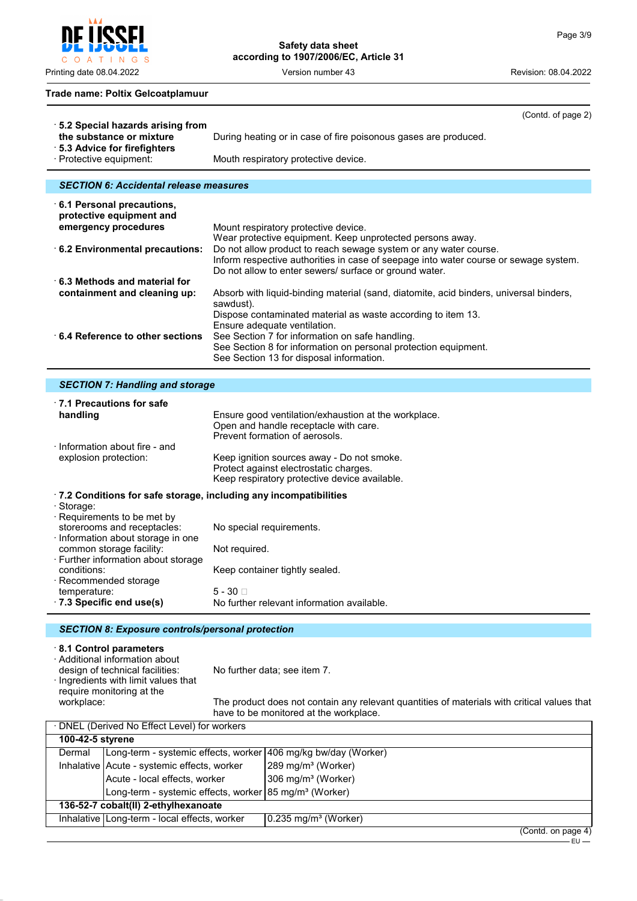$\mathsf{C}$ O A T I N G S

**Safety data sheet according to 1907/2006/EC, Article 31**

Printing date 08.04.2022 Version number 43 Revision: 08.04.2022

#### **Trade name: Poltix Gelcoatplamuur**

|                                                                                                                                     | (Contd. of page 2)                                                                                                                                                                                                 |
|-------------------------------------------------------------------------------------------------------------------------------------|--------------------------------------------------------------------------------------------------------------------------------------------------------------------------------------------------------------------|
| $\cdot$ 5.2 Special hazards arising from<br>the substance or mixture<br>· 5.3 Advice for firefighters                               | During heating or in case of fire poisonous gases are produced.                                                                                                                                                    |
| · Protective equipment:                                                                                                             | Mouth respiratory protective device.                                                                                                                                                                               |
| <b>SECTION 6: Accidental release measures</b>                                                                                       |                                                                                                                                                                                                                    |
|                                                                                                                                     |                                                                                                                                                                                                                    |
| $\cdot$ 6.1 Personal precautions,<br>protective equipment and                                                                       |                                                                                                                                                                                                                    |
| emergency procedures                                                                                                                | Mount respiratory protective device.                                                                                                                                                                               |
|                                                                                                                                     | Wear protective equipment. Keep unprotected persons away.                                                                                                                                                          |
| 6.2 Environmental precautions:                                                                                                      | Do not allow product to reach sewage system or any water course.<br>Inform respective authorities in case of seepage into water course or sewage system.<br>Do not allow to enter sewers/ surface or ground water. |
| $\cdot$ 6.3 Methods and material for                                                                                                |                                                                                                                                                                                                                    |
| containment and cleaning up:                                                                                                        | Absorb with liquid-binding material (sand, diatomite, acid binders, universal binders,<br>sawdust).                                                                                                                |
|                                                                                                                                     | Dispose contaminated material as waste according to item 13.<br>Ensure adequate ventilation.                                                                                                                       |
| $\cdot$ 6.4 Reference to other sections                                                                                             | See Section 7 for information on safe handling.                                                                                                                                                                    |
|                                                                                                                                     | See Section 8 for information on personal protection equipment.<br>See Section 13 for disposal information.                                                                                                        |
| <b>SECTION 7: Handling and storage</b>                                                                                              |                                                                                                                                                                                                                    |
|                                                                                                                                     |                                                                                                                                                                                                                    |
| $\cdot$ 7.1 Precautions for safe<br>handling                                                                                        | Ensure good ventilation/exhaustion at the workplace.<br>Open and handle receptacle with care.<br>Prevent formation of aerosols.                                                                                    |
| $\cdot$ Information about fire - and<br>explosion protection:                                                                       | Keep ignition sources away - Do not smoke.<br>Protect against electrostatic charges.<br>Keep respiratory protective device available.                                                                              |
| .7.2 Conditions for safe storage, including any incompatibilities                                                                   |                                                                                                                                                                                                                    |
| · Storage:<br>· Requirements to be met by<br>storerooms and receptacles:<br>· Information about storage in one                      | No special requirements.                                                                                                                                                                                           |
| common storage facility:<br>· Further information about storage                                                                     | Not required.                                                                                                                                                                                                      |
| conditions:<br>· Recommended storage                                                                                                | Keep container tightly sealed.                                                                                                                                                                                     |
| temperature:                                                                                                                        | $5 - 30$                                                                                                                                                                                                           |
| 7.3 Specific end use(s)                                                                                                             | No further relevant information available.                                                                                                                                                                         |
| <b>SECTION 8: Exposure controls/personal protection</b>                                                                             |                                                                                                                                                                                                                    |
| 8.1 Control parameters<br>· Additional information about<br>design of technical facilities:<br>· Ingredients with limit values that | No further data; see item 7.                                                                                                                                                                                       |
| require monitoring at the<br>workplace:                                                                                             | The product does not contain any relevant quantities of materials with critical values that                                                                                                                        |

workplace: The product does not contain any relevant quantities of materials with critical values that have to be monitored at the workplace.

| · DNEL (Derived No Effect Level) for workers                                         |                                                                    |                                |  |  |  |
|--------------------------------------------------------------------------------------|--------------------------------------------------------------------|--------------------------------|--|--|--|
| 100-42-5 styrene                                                                     |                                                                    |                                |  |  |  |
| Dermal                                                                               | Long-term - systemic effects, worker 406 mg/kg bw/day (Worker)     |                                |  |  |  |
|                                                                                      | Inhalative   Acute - systemic effects, worker                      | 289 mg/m <sup>3</sup> (Worker) |  |  |  |
|                                                                                      | Acute - local effects, worker                                      | 306 mg/m <sup>3</sup> (Worker) |  |  |  |
|                                                                                      | Long-term - systemic effects, worker 85 mg/m <sup>3</sup> (Worker) |                                |  |  |  |
| 136-52-7 cobalt(II) 2-ethylhexanoate                                                 |                                                                    |                                |  |  |  |
| Inhalative   Long-term - local effects, worker<br>$0.235$ mg/m <sup>3</sup> (Worker) |                                                                    |                                |  |  |  |
|                                                                                      |                                                                    | (ContdonnoneA)                 |  |  |  |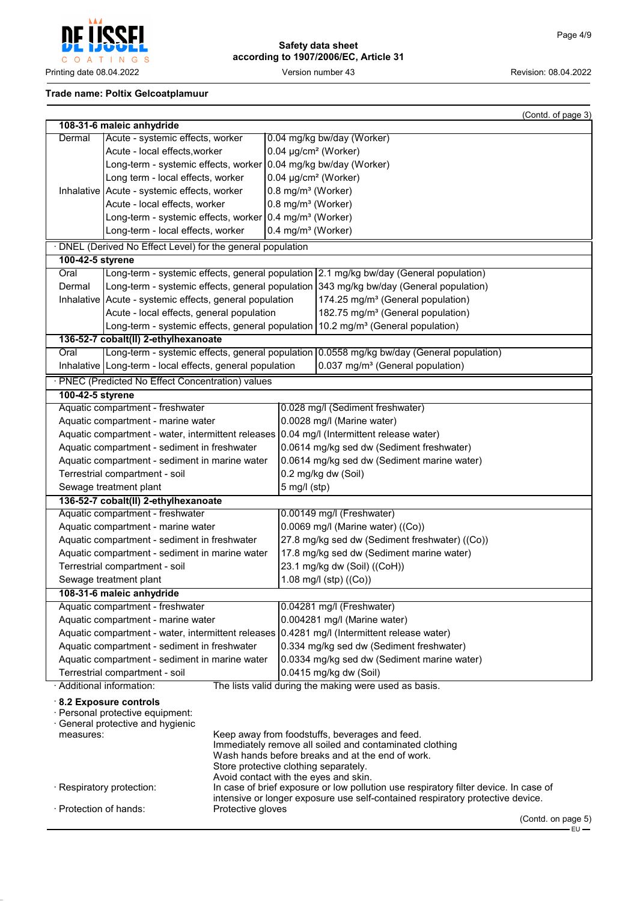EU



## **Safety data sheet according to 1907/2006/EC, Article 31**

### **Trade name: Poltix Gelcoatplamuur**

|                                                                                             |                                                                                                |                                       |                                          |                                                                                                                                                                        | (Contd. of page 3) |
|---------------------------------------------------------------------------------------------|------------------------------------------------------------------------------------------------|---------------------------------------|------------------------------------------|------------------------------------------------------------------------------------------------------------------------------------------------------------------------|--------------------|
|                                                                                             | 108-31-6 maleic anhydride                                                                      |                                       |                                          |                                                                                                                                                                        |                    |
| Dermal                                                                                      | Acute - systemic effects, worker                                                               |                                       |                                          | 0.04 mg/kg bw/day (Worker)                                                                                                                                             |                    |
|                                                                                             | Acute - local effects, worker                                                                  |                                       |                                          | 0.04 µg/cm <sup>2</sup> (Worker)                                                                                                                                       |                    |
|                                                                                             | Long-term - systemic effects, worker 0.04 mg/kg bw/day (Worker)                                |                                       |                                          |                                                                                                                                                                        |                    |
|                                                                                             | Long term - local effects, worker                                                              |                                       |                                          | $0.04 \mu g/cm^2$ (Worker)                                                                                                                                             |                    |
|                                                                                             | Inhalative   Acute - systemic effects, worker                                                  |                                       | 0.8 mg/m <sup>3</sup> (Worker)           |                                                                                                                                                                        |                    |
|                                                                                             | Acute - local effects, worker                                                                  |                                       | 0.8 mg/m <sup>3</sup> (Worker)           |                                                                                                                                                                        |                    |
|                                                                                             | Long-term - systemic effects, worker 0.4 mg/m <sup>3</sup> (Worker)                            |                                       |                                          |                                                                                                                                                                        |                    |
|                                                                                             | Long-term - local effects, worker                                                              |                                       | 0.4 mg/m <sup>3</sup> (Worker)           |                                                                                                                                                                        |                    |
|                                                                                             | · DNEL (Derived No Effect Level) for the general population                                    |                                       |                                          |                                                                                                                                                                        |                    |
| 100-42-5 styrene                                                                            |                                                                                                |                                       |                                          |                                                                                                                                                                        |                    |
| Oral                                                                                        |                                                                                                |                                       |                                          | Long-term - systemic effects, general population 2.1 mg/kg bw/day (General population)                                                                                 |                    |
| Dermal                                                                                      |                                                                                                |                                       |                                          | Long-term - systemic effects, general population 343 mg/kg bw/day (General population)                                                                                 |                    |
|                                                                                             | Inhalative   Acute - systemic effects, general population                                      |                                       |                                          | 174.25 mg/m <sup>3</sup> (General population)                                                                                                                          |                    |
|                                                                                             | Acute - local effects, general population                                                      |                                       |                                          | 182.75 mg/m <sup>3</sup> (General population)                                                                                                                          |                    |
|                                                                                             | Long-term - systemic effects, general population                                               |                                       |                                          | 10.2 mg/m <sup>3</sup> (General population)                                                                                                                            |                    |
|                                                                                             | 136-52-7 cobalt(II) 2-ethylhexanoate                                                           |                                       |                                          |                                                                                                                                                                        |                    |
| Oral                                                                                        |                                                                                                |                                       |                                          | Long-term - systemic effects, general population 0.0558 mg/kg bw/day (General population)                                                                              |                    |
|                                                                                             | Inhalative   Long-term - local effects, general population                                     |                                       |                                          | 0.037 mg/m <sup>3</sup> (General population)                                                                                                                           |                    |
|                                                                                             | · PNEC (Predicted No Effect Concentration) values                                              |                                       |                                          |                                                                                                                                                                        |                    |
| 100-42-5 styrene                                                                            |                                                                                                |                                       |                                          |                                                                                                                                                                        |                    |
|                                                                                             | Aquatic compartment - freshwater                                                               |                                       |                                          | 0.028 mg/l (Sediment freshwater)                                                                                                                                       |                    |
|                                                                                             | Aquatic compartment - marine water                                                             |                                       |                                          | 0.0028 mg/l (Marine water)                                                                                                                                             |                    |
|                                                                                             |                                                                                                |                                       |                                          | Aquatic compartment - water, intermittent releases 0.04 mg/l (Intermittent release water)                                                                              |                    |
|                                                                                             | Aquatic compartment - sediment in freshwater                                                   |                                       |                                          | 0.0614 mg/kg sed dw (Sediment freshwater)                                                                                                                              |                    |
|                                                                                             | Aquatic compartment - sediment in marine water                                                 |                                       |                                          | 0.0614 mg/kg sed dw (Sediment marine water)                                                                                                                            |                    |
|                                                                                             | Terrestrial compartment - soil                                                                 |                                       |                                          | 0.2 mg/kg dw (Soil)                                                                                                                                                    |                    |
| Sewage treatment plant                                                                      |                                                                                                | $5$ mg/l (stp)                        |                                          |                                                                                                                                                                        |                    |
|                                                                                             | 136-52-7 cobalt(II) 2-ethylhexanoate                                                           |                                       |                                          |                                                                                                                                                                        |                    |
|                                                                                             | Aquatic compartment - freshwater                                                               |                                       |                                          | 0.00149 mg/l (Freshwater)                                                                                                                                              |                    |
|                                                                                             | Aquatic compartment - marine water                                                             |                                       |                                          | $0.0069$ mg/l (Marine water) ((Co))                                                                                                                                    |                    |
|                                                                                             | Aquatic compartment - sediment in freshwater                                                   |                                       |                                          | 27.8 mg/kg sed dw (Sediment freshwater) ((Co))                                                                                                                         |                    |
|                                                                                             | Aquatic compartment - sediment in marine water                                                 |                                       |                                          | 17.8 mg/kg sed dw (Sediment marine water)                                                                                                                              |                    |
|                                                                                             | Terrestrial compartment - soil                                                                 |                                       | 23.1 mg/kg dw (Soil) ((CoH))             |                                                                                                                                                                        |                    |
|                                                                                             | Sewage treatment plant                                                                         |                                       | 1.08 mg/l (stp) ((Co))                   |                                                                                                                                                                        |                    |
|                                                                                             | 108-31-6 maleic anhydride                                                                      |                                       |                                          |                                                                                                                                                                        |                    |
|                                                                                             | Aquatic compartment - freshwater                                                               |                                       |                                          | 0.04281 mg/l (Freshwater)                                                                                                                                              |                    |
|                                                                                             | Aquatic compartment - marine water                                                             |                                       |                                          | 0.004281 mg/l (Marine water)                                                                                                                                           |                    |
| Aquatic compartment - water, intermittent releases 0.4281 mg/l (Intermittent release water) |                                                                                                |                                       |                                          |                                                                                                                                                                        |                    |
| Aquatic compartment - sediment in freshwater                                                |                                                                                                |                                       | 0.334 mg/kg sed dw (Sediment freshwater) |                                                                                                                                                                        |                    |
|                                                                                             | Aquatic compartment - sediment in marine water                                                 |                                       |                                          | 0.0334 mg/kg sed dw (Sediment marine water)                                                                                                                            |                    |
|                                                                                             | Terrestrial compartment - soil                                                                 |                                       |                                          | 0.0415 mg/kg dw (Soil)                                                                                                                                                 |                    |
|                                                                                             | · Additional information:                                                                      |                                       |                                          | The lists valid during the making were used as basis.                                                                                                                  |                    |
| measures:                                                                                   | 8.2 Exposure controls<br>· Personal protective equipment:<br>· General protective and hygienic | Store protective clothing separately. |                                          | Keep away from foodstuffs, beverages and feed.<br>Immediately remove all soiled and contaminated clothing<br>Wash hands before breaks and at the end of work.          |                    |
|                                                                                             |                                                                                                | Avoid contact with the eyes and skin. |                                          |                                                                                                                                                                        |                    |
| · Protection of hands:                                                                      | · Respiratory protection:                                                                      | Protective gloves                     |                                          | In case of brief exposure or low pollution use respiratory filter device. In case of<br>intensive or longer exposure use self-contained respiratory protective device. |                    |
|                                                                                             |                                                                                                |                                       |                                          |                                                                                                                                                                        | (Contd. on page 5) |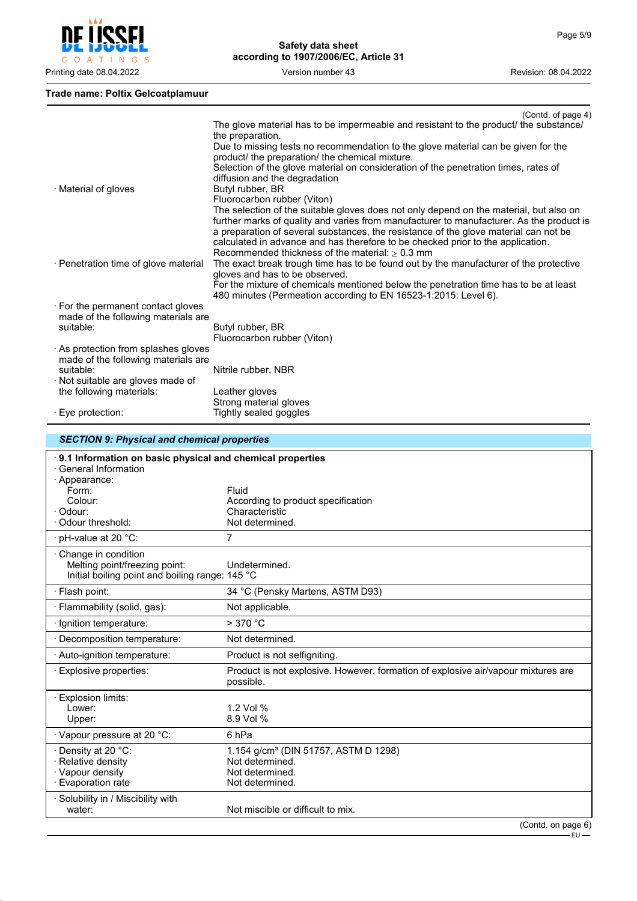

#### **Trade name: Poltix Gelcoatplamuur**

*SECTION 9: Physical and chemical properties*

|                                                                                                                                     | (Contd. of page 4)                                                                                                                                                                                                                                                                                                                                                                                                                                                    |
|-------------------------------------------------------------------------------------------------------------------------------------|-----------------------------------------------------------------------------------------------------------------------------------------------------------------------------------------------------------------------------------------------------------------------------------------------------------------------------------------------------------------------------------------------------------------------------------------------------------------------|
|                                                                                                                                     | The glove material has to be impermeable and resistant to the product/ the substance/<br>the preparation.<br>Due to missing tests no recommendation to the glove material can be given for the<br>product/ the preparation/ the chemical mixture.<br>Selection of the glove material on consideration of the penetration times, rates of<br>diffusion and the degradation                                                                                             |
| · Material of gloves                                                                                                                | Butyl rubber, BR<br>Fluorocarbon rubber (Viton)<br>The selection of the suitable gloves does not only depend on the material, but also on<br>further marks of quality and varies from manufacturer to manufacturer. As the product is<br>a preparation of several substances, the resistance of the glove material can not be<br>calculated in advance and has therefore to be checked prior to the application.<br>Recommended thickness of the material: $> 0.3$ mm |
| · Penetration time of glove material                                                                                                | The exact break trough time has to be found out by the manufacturer of the protective<br>gloves and has to be observed.<br>For the mixture of chemicals mentioned below the penetration time has to be at least<br>480 minutes (Permeation according to EN 16523-1:2015: Level 6).                                                                                                                                                                                    |
| $\cdot$ For the permanent contact gloves<br>made of the following materials are<br>suitable:                                        | Butyl rubber, BR<br>Fluorocarbon rubber (Viton)                                                                                                                                                                                                                                                                                                                                                                                                                       |
| $\cdot$ As protection from splashes gloves<br>made of the following materials are<br>suitable:<br>· Not suitable are gloves made of | Nitrile rubber, NBR                                                                                                                                                                                                                                                                                                                                                                                                                                                   |
| the following materials:<br>$\cdot$ Eye protection:                                                                                 | Leather gloves<br>Strong material gloves<br>Tightly sealed goggles                                                                                                                                                                                                                                                                                                                                                                                                    |

### · **9.1 Information on basic physical and chemical properties** · General Information · Appearance: Form: Fluid Colour: According to product specification<br>
Characteristic<br>
Characteristic Characteristic<br>Not determined.  $\cdot$  Odour threshold:  $\cdot$  pH-value at 20  $\degree$ C:  $\hspace{2cm}$  7 · Change in condition Melting point/freezing point: Undetermined. Initial boiling point and boiling range: 145 °C · Flash point: 34 °C (Pensky Martens, ASTM D93) · Flammability (solid, gas): Not applicable. · Ignition temperature: > 370 °C

| ، ب                                                                                                 | . .                                                                                                       |
|-----------------------------------------------------------------------------------------------------|-----------------------------------------------------------------------------------------------------------|
| · Ignition temperature:                                                                             | $>$ 370 °C                                                                                                |
| · Decomposition temperature:                                                                        | Not determined.                                                                                           |
| · Auto-ignition temperature:                                                                        | Product is not selfigniting.                                                                              |
| · Explosive properties:                                                                             | Product is not explosive. However, formation of explosive air/vapour mixtures are<br>possible.            |
| Explosion limits:<br>Lower:<br>Upper:                                                               | 1.2 Vol $%$<br>8.9 Vol %                                                                                  |
| · Vapour pressure at 20 °C:                                                                         | 6 hPa                                                                                                     |
| $\cdot$ Density at 20 $^{\circ}$ C:<br>· Relative density<br>· Vapour density<br>· Evaporation rate | 1.154 g/cm <sup>3</sup> (DIN 51757, ASTM D 1298)<br>Not determined.<br>Not determined.<br>Not determined. |
| · Solubility in / Miscibility with<br>water:                                                        | Not miscible or difficult to mix.                                                                         |
|                                                                                                     |                                                                                                           |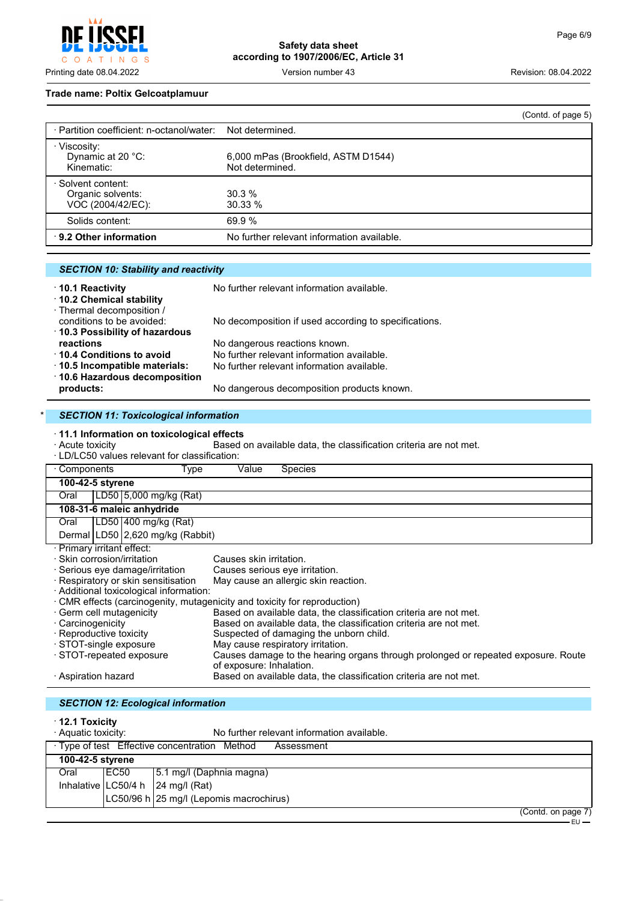INGS  $\top$ 

**Safety data sheet according to 1907/2006/EC, Article 31**

Printing date 08.04.2022 Version number 43 Revision: 08.04.2022

#### **Trade name: Poltix Gelcoatplamuur**

|                                                              |                                                        | (Contd. of page 5) |
|--------------------------------------------------------------|--------------------------------------------------------|--------------------|
| · Partition coefficient: n-octanol/water:                    | Not determined.                                        |                    |
| · Viscosity:<br>Dynamic at 20 °C:<br>Kinematic:              | 6,000 mPas (Brookfield, ASTM D1544)<br>Not determined. |                    |
| · Solvent content:<br>Organic solvents:<br>VOC (2004/42/EC): | 30.3%<br>30.33%                                        |                    |
| Solids content:                                              | 69.9%                                                  |                    |
| 9.2 Other information                                        | No further relevant information available.             |                    |

### *SECTION 10: Stability and reactivity*

| 10.1 Reactivity                | No further relevant information available.            |
|--------------------------------|-------------------------------------------------------|
| 10.2 Chemical stability        |                                                       |
| · Thermal decomposition /      |                                                       |
| conditions to be avoided:      | No decomposition if used according to specifications. |
| 10.3 Possibility of hazardous  |                                                       |
| reactions                      | No dangerous reactions known.                         |
| 10.4 Conditions to avoid       | No further relevant information available.            |
| · 10.5 Incompatible materials: | No further relevant information available.            |
| ⋅ 10.6 Hazardous decomposition |                                                       |
| products:                      | No dangerous decomposition products known.            |

## **SECTION 11: Toxicological information**

· **11.1 Information on toxicological effects** Based on available data, the classification criteria are not met.

· LD/LC50 values relevant for classification:

| · Components<br>Type                                                      |                                         | Value                                | <b>Species</b>                                                                    |  |
|---------------------------------------------------------------------------|-----------------------------------------|--------------------------------------|-----------------------------------------------------------------------------------|--|
|                                                                           | 100-42-5 styrene                        |                                      |                                                                                   |  |
| Oral                                                                      | LD50 5,000 mg/kg (Rat)                  |                                      |                                                                                   |  |
|                                                                           | 108-31-6 maleic anhydride               |                                      |                                                                                   |  |
| Oral                                                                      | LD50 400 mg/kg (Rat)                    |                                      |                                                                                   |  |
|                                                                           | Dermal LD50 2,620 mg/kg (Rabbit)        |                                      |                                                                                   |  |
|                                                                           | · Primary irritant effect:              |                                      |                                                                                   |  |
|                                                                           | · Skin corrosion/irritation             | Causes skin irritation.              |                                                                                   |  |
| · Serious eye damage/irritation                                           |                                         | Causes serious eye irritation.       |                                                                                   |  |
| · Respiratory or skin sensitisation                                       |                                         | May cause an allergic skin reaction. |                                                                                   |  |
|                                                                           | · Additional toxicological information: |                                      |                                                                                   |  |
| · CMR effects (carcinogenity, mutagenicity and toxicity for reproduction) |                                         |                                      |                                                                                   |  |
|                                                                           | · Germ cell mutagenicity                |                                      | Based on available data, the classification criteria are not met.                 |  |
| · Carcinogenicity                                                         |                                         |                                      | Based on available data, the classification criteria are not met.                 |  |
|                                                                           | · Reproductive toxicity                 |                                      | Suspected of damaging the unborn child.                                           |  |
|                                                                           | · STOT-single exposure                  |                                      | May cause respiratory irritation.                                                 |  |
|                                                                           | STOT-repeated exposure                  | of exposure: Inhalation.             | Causes damage to the hearing organs through prolonged or repeated exposure. Route |  |
|                                                                           | · Aspiration hazard                     |                                      | Based on available data, the classification criteria are not met.                 |  |

| <b>SECTION 12: Ecological information</b>                                                  |       |                                                                 |  |
|--------------------------------------------------------------------------------------------|-------|-----------------------------------------------------------------|--|
| $\cdot$ 12.1 Toxicity<br>· Aquatic toxicity:<br>No further relevant information available. |       |                                                                 |  |
| · Type of test Effective concentration Method<br>Assessment                                |       |                                                                 |  |
| 100-42-5 styrene                                                                           |       |                                                                 |  |
| Oral                                                                                       | IEC50 | 5.1 mg/l (Daphnia magna)                                        |  |
|                                                                                            |       | Inhalative $ LC50/4 h $ 24 mg/l (Rat)                           |  |
|                                                                                            |       | LC50/96 h 25 mg/l (Lepomis macrochirus)<br>$\sim$ $\sim$ $\sim$ |  |

(Contd. on page 7)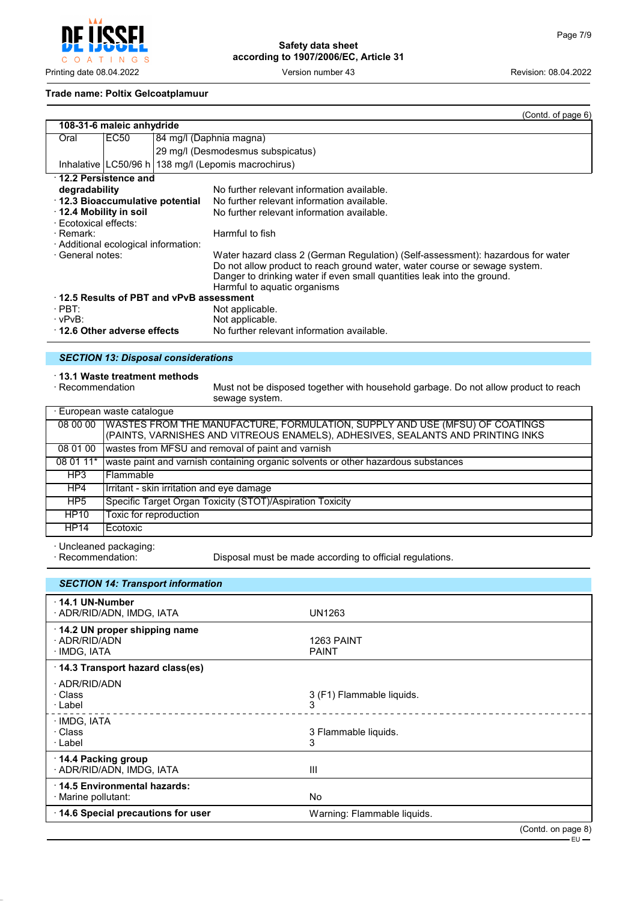

#### **Trade name: Poltix Gelcoatplamuur**

|                                         |                                    |  | (Contd. of page 6)                                                              |  |
|-----------------------------------------|------------------------------------|--|---------------------------------------------------------------------------------|--|
|                                         | 108-31-6 maleic anhydride          |  |                                                                                 |  |
| Oral                                    | EC50                               |  | 84 mg/l (Daphnia magna)                                                         |  |
|                                         |                                    |  | 29 mg/l (Desmodesmus subspicatus)                                               |  |
|                                         |                                    |  | Inhalative   LC50/96 h   138 mg/l (Lepomis macrochirus)                         |  |
| $\cdot$ 12.2 Persistence and            |                                    |  |                                                                                 |  |
| degradability                           |                                    |  | No further relevant information available.                                      |  |
| ⋅ 12.3 Bioaccumulative potential        |                                    |  | No further relevant information available.                                      |  |
| $\cdot$ 12.4 Mobility in soil           |                                    |  | No further relevant information available.                                      |  |
| · Ecotoxical effects:                   |                                    |  |                                                                                 |  |
| · Remark:                               |                                    |  | Harmful to fish                                                                 |  |
| · Additional ecological information:    |                                    |  |                                                                                 |  |
| · General notes:                        |                                    |  | Water hazard class 2 (German Regulation) (Self-assessment): hazardous for water |  |
|                                         |                                    |  | Do not allow product to reach ground water, water course or sewage system.      |  |
|                                         |                                    |  | Danger to drinking water if even small quantities leak into the ground.         |  |
|                                         |                                    |  | Harmful to aquatic organisms                                                    |  |
| 12.5 Results of PBT and vPvB assessment |                                    |  |                                                                                 |  |
| $\cdot$ PBT:                            |                                    |  | Not applicable.                                                                 |  |
| $\cdot$ vPvB:                           |                                    |  | Not applicable.                                                                 |  |
|                                         | $\cdot$ 12.6 Other adverse effects |  | No further relevant information available.                                      |  |

### *SECTION 13: Disposal considerations*

# · **13.1 Waste treatment methods**

Must not be disposed together with household garbage. Do not allow product to reach sewage system.

| · European waste cataloque |                                                                                                                                                                |  |
|----------------------------|----------------------------------------------------------------------------------------------------------------------------------------------------------------|--|
| 08 00 00                   | WASTES FROM THE MANUFACTURE, FORMULATION, SUPPLY AND USE (MFSU) OF COATINGS<br>(PAINTS, VARNISHES AND VITREOUS ENAMELS), ADHESIVES, SEALANTS AND PRINTING INKS |  |
| 08 01 00                   | wastes from MFSU and removal of paint and varnish                                                                                                              |  |
| 08 01 11*                  | waste paint and varnish containing organic solvents or other hazardous substances                                                                              |  |
| HP3                        | l Flammable                                                                                                                                                    |  |
| HP4                        | Irritant - skin irritation and eye damage                                                                                                                      |  |
| HP <sub>5</sub>            | Specific Target Organ Toxicity (STOT)/Aspiration Toxicity                                                                                                      |  |
| <b>HP10</b>                | Toxic for reproduction                                                                                                                                         |  |
| <b>HP14</b>                | Ecotoxic                                                                                                                                                       |  |

· Uncleaned packaging:

Disposal must be made according to official regulations.

| <b>SECTION 14: Transport information</b>                      |                                |                    |
|---------------------------------------------------------------|--------------------------------|--------------------|
| $\cdot$ 14.1 UN-Number<br>· ADR/RID/ADN, IMDG, IATA           | UN1263                         |                    |
| 14.2 UN proper shipping name<br>· ADR/RID/ADN<br>· IMDG, IATA | 1263 PAINT<br><b>PAINT</b>     |                    |
| 14.3 Transport hazard class(es)                               |                                |                    |
| · ADR/RID/ADN<br>· Class<br>· Label                           | 3 (F1) Flammable liquids.<br>3 |                    |
| · IMDG, IATA<br>· Class<br>· Label                            | 3 Flammable liquids.<br>3      |                    |
| $\cdot$ 14.4 Packing group<br>· ADR/RID/ADN, IMDG, IATA       | Ш                              |                    |
| 14.5 Environmental hazards:<br>· Marine pollutant:            | <b>No</b>                      |                    |
| 14.6 Special precautions for user                             | Warning: Flammable liquids.    |                    |
|                                                               |                                | (Contd. on page 8) |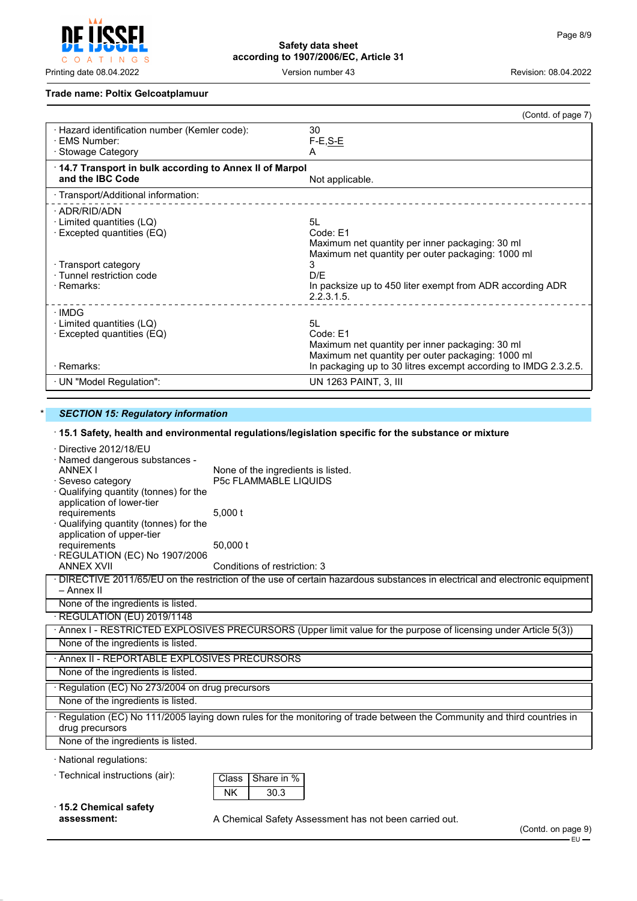

### **Trade name: Poltix Gelcoatplamuur**

|                                                                | (Contd. of page 7)                                              |
|----------------------------------------------------------------|-----------------------------------------------------------------|
| · Hazard identification number (Kemler code):                  | 30                                                              |
| · FMS Number:                                                  | $F-E, S-E$                                                      |
| · Stowage Category                                             | A                                                               |
| $\cdot$ 14.7 Transport in bulk according to Annex II of Marpol |                                                                 |
| and the IBC Code                                               | Not applicable.                                                 |
| · Transport/Additional information:                            |                                                                 |
| · ADR/RID/ADN                                                  |                                                                 |
| $\cdot$ Limited quantities (LQ)                                | 51                                                              |
| · Excepted quantities (EQ)                                     | Code: F1                                                        |
|                                                                | Maximum net quantity per inner packaging: 30 ml                 |
|                                                                | Maximum net quantity per outer packaging: 1000 ml               |
| · Transport category                                           | 3                                                               |
| · Tunnel restriction code                                      | D/E                                                             |
| · Remarks:                                                     | In packsize up to 450 liter exempt from ADR according ADR       |
|                                                                | 2.2.3.1.5.                                                      |
| · IMDG                                                         |                                                                 |
| $\cdot$ Limited quantities (LQ)                                | 5I.                                                             |
| · Excepted quantities (EQ)                                     | Code: F1                                                        |
|                                                                | Maximum net quantity per inner packaging: 30 ml                 |
|                                                                | Maximum net quantity per outer packaging: 1000 ml               |
| $\cdot$ Remarks:                                               | In packaging up to 30 litres excempt according to IMDG 2.3.2.5. |
| ⋅ UN "Model Regulation":                                       | UN 1263 PAINT, 3, III                                           |

#### **SECTION 15: Regulatory information**

# · **15.1 Safety, health and environmental regulations/legislation specific for the substance or mixture**

|                                                                                                                                                                        | 19.1 Jaioty, Health and Chvironmental regulations/legislation specific for the substance of mixture                         |  |
|------------------------------------------------------------------------------------------------------------------------------------------------------------------------|-----------------------------------------------------------------------------------------------------------------------------|--|
| · Directive 2012/18/EU<br>· Named dangerous substances -<br><b>ANNEX I</b><br>· Seveso category<br>· Qualifying quantity (tonnes) for the<br>application of lower-tier | None of the ingredients is listed.<br><b>P5c FLAMMABLE LIQUIDS</b>                                                          |  |
| requirements<br>· Qualifying quantity (tonnes) for the<br>application of upper-tier<br>requirements                                                                    | $5,000$ t<br>50,000 t                                                                                                       |  |
| · REGULATION (EC) No 1907/2006<br><b>ANNEX XVII</b>                                                                                                                    | Conditions of restriction: 3                                                                                                |  |
| – Annex II                                                                                                                                                             | · DIRECTIVE 2011/65/EU on the restriction of the use of certain hazardous substances in electrical and electronic equipment |  |
| None of the ingredients is listed.                                                                                                                                     |                                                                                                                             |  |
| · REGULATION (EU) 2019/1148                                                                                                                                            |                                                                                                                             |  |
|                                                                                                                                                                        | Annex I - RESTRICTED EXPLOSIVES PRECURSORS (Upper limit value for the purpose of licensing under Article 5(3))              |  |
| None of the ingredients is listed.                                                                                                                                     |                                                                                                                             |  |
| Annex II - REPORTABLE EXPLOSIVES PRECURSORS                                                                                                                            |                                                                                                                             |  |
| None of the ingredients is listed.                                                                                                                                     |                                                                                                                             |  |
| · Regulation (EC) No 273/2004 on drug precursors                                                                                                                       |                                                                                                                             |  |
| None of the ingredients is listed.                                                                                                                                     |                                                                                                                             |  |
| · Regulation (EC) No 111/2005 laying down rules for the monitoring of trade between the Community and third countries in<br>drug precursors                            |                                                                                                                             |  |
| None of the ingredients is listed.                                                                                                                                     |                                                                                                                             |  |
| · National regulations:                                                                                                                                                |                                                                                                                             |  |
| · Technical instructions (air):                                                                                                                                        | Share in %<br>Class                                                                                                         |  |
|                                                                                                                                                                        | <b>NK</b><br>30.3                                                                                                           |  |
| 15.2 Chemical safety                                                                                                                                                   |                                                                                                                             |  |
| assessment:                                                                                                                                                            | A Chemical Safety Assessment has not been carried out.<br>(Contd. on page 9)                                                |  |
|                                                                                                                                                                        |                                                                                                                             |  |